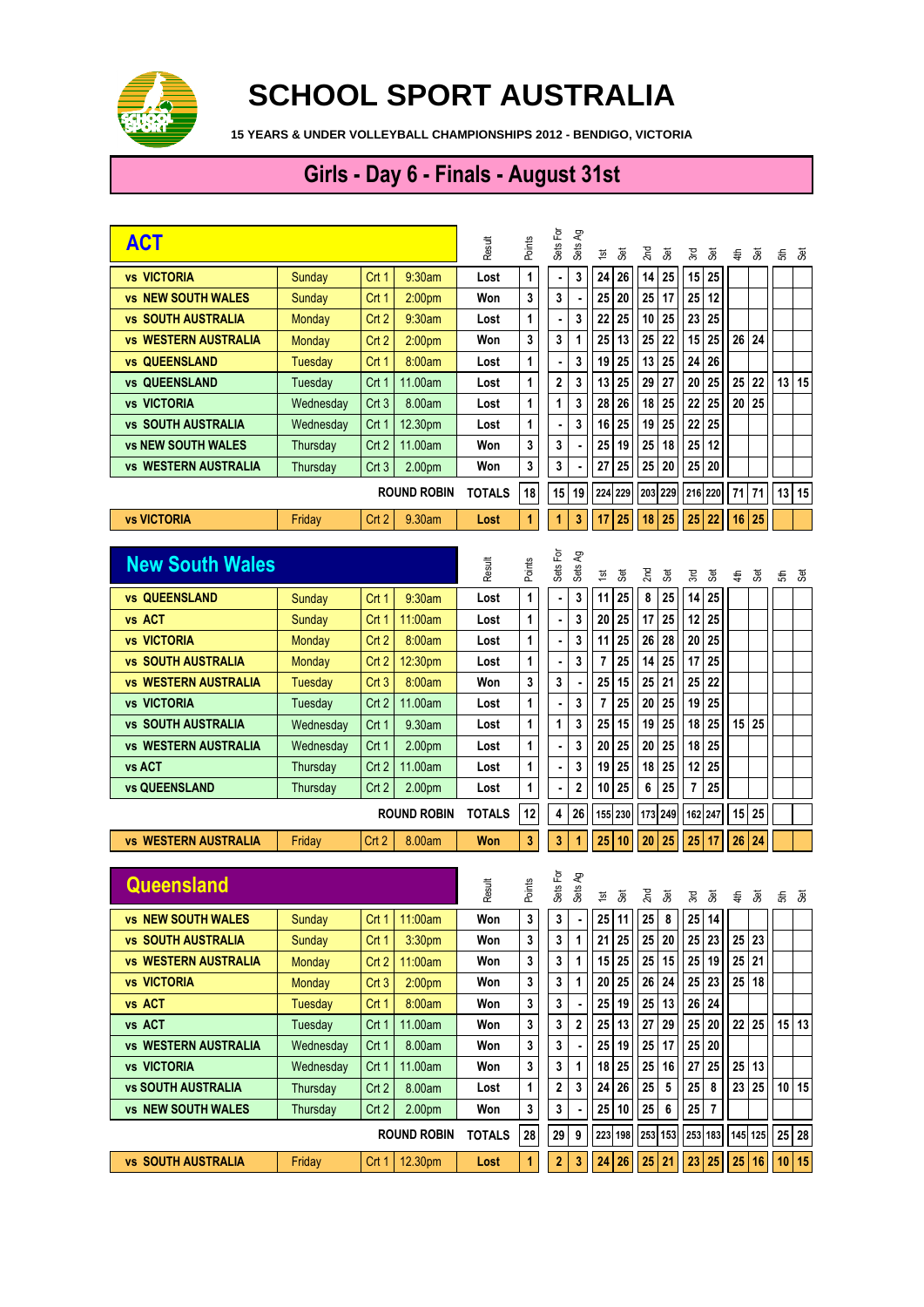

## **SCHOOL SPORT AUSTRALIA**

**15 YEARS & UNDER VOLLEYBALL CHAMPIONSHIPS 2012 - BENDIGO, VICTORIA**

## **Girls - Day 6 - Finals - August 31st**

| <b>ACT</b>                            |                    |                  |                    | Result        | Points | Sets For | Sets Ag        | <b>Set</b><br>$\frac{1}{2}$ | $2n$ d<br><b>Set</b>   | 3rd<br>3et                    | 4th     | Set        | 5th   | Set      |
|---------------------------------------|--------------------|------------------|--------------------|---------------|--------|----------|----------------|-----------------------------|------------------------|-------------------------------|---------|------------|-------|----------|
| <b>vs VICTORIA</b>                    | Sunday             | Crt 1            | 9:30am             | Lost          | 1      |          | 3              | 24<br>26                    | 25<br>14               | 15<br>25                      |         |            |       |          |
| <b>vs NEW SOUTH WALES</b>             | Sunday             | Crt 1            | 2:00 <sub>pm</sub> | Won           | 3      | 3        |                | 25<br>20                    | 17<br>25               | 25<br>12                      |         |            |       |          |
| <b>SOUTH AUSTRALIA</b><br>VS          | Monday             | Crt <sub>2</sub> | 9:30am             | Lost          | 1      |          | 3              | 25<br>22                    | 25<br>10               | 23<br>25                      |         |            |       |          |
| <b>vs WESTERN AUSTRALIA</b>           | Monday             | Crt 2            | 2:00 <sub>pm</sub> | Won           | 3      | 3        | 1              | 13<br>25                    | 22<br>25               | 15<br>25                      | 26      | 24         |       |          |
| <b>vs QUEENSLAND</b>                  | Tuesday            | Crt 1            | 8:00am             | Lost          | 1      |          | 3              | 25<br>19                    | 25<br>13               | 26<br>24                      |         |            |       |          |
| QUEENSLAND<br>VS                      | Tuesday            | Crt 1            | 11.00am            | Lost          | 1      | 2        | 3              | 25<br>13                    | 27<br>29               | 20<br>25                      | 25      | 22         | 13    | 15       |
| <b>vs VICTORIA</b>                    | Wednesday          | Crt <sub>3</sub> | 8.00am             | Lost          | 1      | 1        | 3              | 26<br>28                    | 18<br>25               | 25<br>22                      | 20      | 25         |       |          |
| <b>vs SOUTH AUSTRALIA</b>             | Wednesday          | Crt 1            | 12.30pm            | Lost          | 1      |          | 3              | 25<br>16                    | 25<br>19               | 25<br>22                      |         |            |       |          |
| <b>vs NEW SOUTH WALES</b>             | Thursday           | Crt <sub>2</sub> | 11.00am            | Won           | 3      | 3        |                | 19<br>25                    | 18<br>25               | 25<br>12                      |         |            |       |          |
| <b>vs WESTERN AUSTRALIA</b>           | Thursday           | Crt <sub>3</sub> | 2.00pm             | Won           | 3      | 3        |                | 25<br>27                    | 25<br>20               | 25<br>20                      |         |            |       |          |
|                                       | <b>ROUND ROBIN</b> |                  |                    | <b>TOTALS</b> | 18     | 15       | 19             | 224<br>229                  | 229<br>203             | 216 220                       |         | 71 71      |       | $13$ 15  |
| <b>vs VICTORIA</b>                    | Friday             | Crt <sub>2</sub> | 9.30am             | Lost          | 1      | 1        | 3              | 17<br>25                    | 25<br>18               | 25<br>22                      | 16      | 25         |       |          |
| <b>New South Wales</b>                |                    |                  |                    |               |        | Sets For | Sets Ag        |                             |                        |                               |         |            |       |          |
|                                       |                    |                  |                    | Result        | Points |          |                | 3<br>$\frac{1}{2}$          | $2n$ d<br><b>Set</b>   | 3rd<br>3                      | 44      | 3          | £     | ීම්      |
| <b>vs QUEENSLAND</b>                  | Sunday             | Crt 1            | 9:30am             | Lost          | 1      |          | 3              | 25<br>11                    | 8<br>25                | 14<br>25                      |         |            |       |          |
| vs ACT                                | Sunday             | Crt 1            | 11:00am            | Lost          | 1      |          | 3              | 25<br>20                    | 25<br>17               | 12<br>25                      |         |            |       |          |
| <b>vs VICTORIA</b>                    | <b>Monday</b>      | Crt <sub>2</sub> | 8:00am             | Lost          | 1      |          | 3              | 25<br>11                    | 28<br>26               | 25<br>20                      |         |            |       |          |
| <b>vs SOUTH AUSTRALIA</b>             | <b>Monday</b>      | Crt 2            | 12:30pm            | Lost          | 1      |          | 3              | 25<br>7                     | 25<br>14               | 17<br>25                      |         |            |       |          |
| <b>WESTERN AUSTRALIA</b><br><b>VS</b> | Tuesday            | Crt <sub>3</sub> | 8:00am             | Won           | 3      | 3        |                | 15<br>25                    | 21<br>25               | 25<br>22                      |         |            |       |          |
| <b>VICTORIA</b><br><b>VS</b>          | Tuesday            | Crt 2            | 11.00am            | Lost          | 1      |          | 3              | 25<br>7                     | 25<br>20               | 25<br>19                      |         |            |       |          |
| <b>vs SOUTH AUSTRALIA</b>             | Wednesday          | Crt 1            | 9.30am             | Lost          | 1      | 1        | 3              | 15<br>25                    | 25<br>19               | 25<br>18                      |         | $15$   25  |       |          |
| <b>vs WESTERN AUSTRALIA</b>           | Wednesday          | Crt 1            | 2.00pm             | Lost          | 1      |          | 3              | 20<br>25                    | 25<br>20               | 18<br>25                      |         |            |       |          |
| vs ACT                                | Thursday           | Crt 2            | 11.00am            | Lost          | 1      |          | 3              | 25<br>19                    | 18<br>25               | 12<br>25                      |         |            |       |          |
| <b>vs QUEENSLAND</b>                  | Thursday           | Crt 2            | 2.00pm             | Lost          | 1      |          | $\overline{2}$ | 25<br>10                    | 25<br>6                | 7<br>25                       |         |            |       |          |
| <b>ROUND ROBIN</b>                    |                    |                  |                    | <b>TOTALS</b> | 12     | 4        | 26             | 155 230                     | 173<br>249             | 162 247                       |         | $15$ 25    |       |          |
| <b>vs WESTERN AUSTRALIA</b>           | Friday             | Crt <sub>2</sub> | 8.00am             | Won           | 3      | 3        | 1              | 25<br>10                    | 20<br>25               | 25<br>17                      | 26      | 24         |       |          |
|                                       |                    |                  |                    |               |        |          |                |                             |                        |                               |         |            |       |          |
| Queensland                            |                    |                  |                    | Result        | Points | Sets For | Sets Ag        | <b>Set</b><br>1st           | 2 <sub>nd</sub><br>3et | 3rd<br>3et                    | 4th     | <b>Set</b> | 뙹     | .<br>Set |
| <b>vs NEW SOUTH WALES</b>             | Sunday             |                  | Crt 1   11:00am    | Won           | 3      | 3        |                | 25<br>11                    | 25<br>8                | 25<br>14                      |         |            |       |          |
| <b>vs SOUTH AUSTRALIA</b>             | Sunday             | Crt 1            | 3:30pm             | Won           | 3      | 3        | 1              | 21<br>25                    | 25<br>20               | 25<br>23                      | 25      | 23         |       |          |
| <b>vs WESTERN AUSTRALIA</b>           | Monday             | Crt <sub>2</sub> | 11:00am            | Won           | 3      | 3        | 1              | 25<br>15                    | 25<br>15               | 25<br>19                      |         | $25$ 21    |       |          |
| <b>vs VICTORIA</b>                    | Monday             | Crt3             | 2:00 <sub>pm</sub> | Won           | 3      | 3        | 1              | 25<br>20                    | 24<br>26               | 25<br>23                      |         | $25$ 18    |       |          |
| vs ACT                                | <b>Tuesday</b>     | Crt 1            | 8:00am             | Won           | 3      | 3        |                | 19<br>25                    | 13<br>25               | 26<br>24                      |         |            |       |          |
| vs ACT                                | Tuesday            | Crt 1            | 11.00am            | Won           | 3      | 3        | 2              | 13<br>25                    | 27<br>29               | 25<br>20                      |         | $22$ 25    |       | 15 13    |
| <b>vs WESTERN AUSTRALIA</b>           | Wednesday          | Crt 1            | 8.00am             | Won           | 3      | 3        |                | 19<br>25                    | 25<br>17               | 25<br>20                      |         |            |       |          |
| <b>vs VICTORIA</b>                    | Wednesday          | Crt 1            | 11.00am            | Won           | 3      | 3        | 1              | 25<br>18                    | 16<br>25               | 25<br>27                      | 25      | 13         |       |          |
| <b>vs SOUTH AUSTRALIA</b>             | Thursday           | Crt 2            | 8.00am             | Lost          | 1      | 2        | 3              | 26<br>24                    | 25<br>5                | 25<br>8                       | 23      | 25         |       | 10 15    |
| <b>vs NEW SOUTH WALES</b>             | Thursday           | Crt 2            | 2.00pm             | Won           | 3      | 3        |                | 25<br>10                    | $\bf 6$<br>25          | $\overline{\mathbf{r}}$<br>25 |         |            |       |          |
| <b>ROUND ROBIN</b>                    |                    |                  | <b>TOTALS</b>      | 28            | 29     | 9        | 223 198        | 253 153                     | 253 183                |                               | 145 125 |            | 25 28 |          |
| <b>vs SOUTH AUSTRALIA</b>             | Friday             | Crt 1            | 12.30pm            | Lost          | 1      | 2        | 3              | 24<br>26                    | 25<br>21               | 23<br>25                      | 25      | 16         |       | 10 15    |